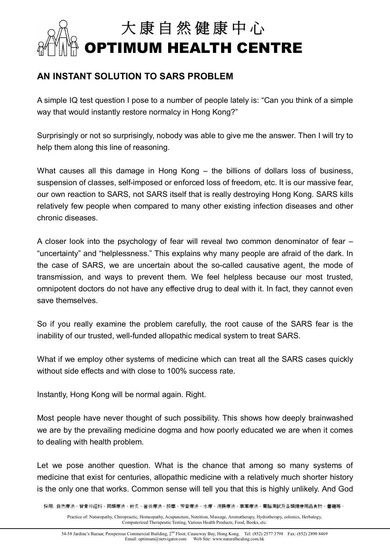## **大 康 自 然 健 康 中 心 OPTIMUM HEALTH CENTRE**

## **AN INSTANT SOLUTION TO SARS PROBLEM**

A simple IQ test question I pose to a number of people lately is: "Can you think of a simple way that would instantly restore normalcy in Hong Kong?"

Surprisingly or not so surprisingly, nobody was able to give me the answer. Then I will try to help them along this line of reasoning.

What causes all this damage in Hong Kong – the billions of dollars loss of business, suspension of classes, self-imposed or enforced loss of freedom, etc. It is our massive fear, our own reaction to SARS, not SARS itself that is really destroying Hong Kong. SARS kills relatively few people when compared to many other existing infection diseases and other chronic diseases.

A closer look into the psychology of fear will reveal two common denominator of fear – "uncertainty" and "helplessness." This explains why many people are afraid of the dark. In the case of SARS, we are uncertain about the so-called causative agent, the mode of transmission, and ways to prevent them. We feel helpless because our most trusted, omnipotent doctors do not have any effective drug to deal with it. In fact, they cannot even save themselves.

So if you really examine the problem carefully, the root cause of the SARS fear is the inability of our trusted, well-funded allopathic medical system to treat SARS.

What if we employ other systems of medicine which can treat all the SARS cases quickly without side effects and with close to 100% success rate.

Instantly, Hong Kong will be normal again. Right.

Most people have never thought of such possibility. This shows how deeply brainwashed we are by the prevailing medicine dogma and how poorly educated we are when it comes to dealing with health problem.

Let we pose another question. What is the chance that among so many systems of medicine that exist for centuries, allopathic medicine with a relatively much shorter history is the only one that works. Common sense will tell you that this is highly unlikely. And God

採用: 自然療法、脊骨神經科、同類療法、針炙、營養療法、按摩、芳香療法、水療、浣腸療法、草藥療法、電腦測試及各類健康用品食物、書籍等。

Practice of: Naturopathy, Chiropractic, Homeopathy, Acupuncture, Nutrition, Massage, Aromatherapy, Hydrotherapy, colonics, Herbalogy, Computerized Therapeutic Testing, Various Health Products, Food, Books, etc.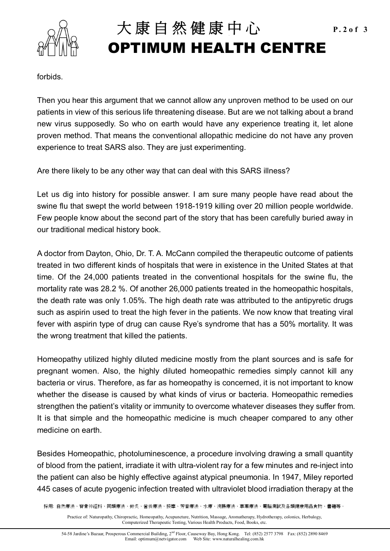

## 大康自然健康中心 P.2of 3 **OPTIMUM HEALTH CENTRE**

forbids.

Then you hear this argument that we cannot allow any unproven method to be used on our patients in view of this serious life threatening disease. But are we not talking about a brand new virus supposedly. So who on earth would have any experience treating it, let alone proven method. That means the conventional allopathic medicine do not have any proven experience to treat SARS also. They are just experimenting.

Are there likely to be any other way that can deal with this SARS illness?

Let us dig into history for possible answer. I am sure many people have read about the swine flu that swept the world between 1918-1919 killing over 20 million people worldwide. Few people know about the second part of the story that has been carefully buried away in our traditional medical history book.

A doctor from Dayton, Ohio, Dr. T. A. McCann compiled the therapeutic outcome of patients treated in two different kinds of hospitals that were in existence in the United States at that time. Of the 24,000 patients treated in the conventional hospitals for the swine flu, the mortality rate was 28.2 %. Of another 26,000 patients treated in the homeopathic hospitals, the death rate was only 1.05%. The high death rate was attributed to the antipyretic drugs such as aspirin used to treat the high fever in the patients. We now know that treating viral fever with aspirin type of drug can cause Rye's syndrome that has a 50% mortality. It was the wrong treatment that killed the patients.

Homeopathy utilized highly diluted medicine mostly from the plant sources and is safe for pregnant women. Also, the highly diluted homeopathic remedies simply cannot kill any bacteria or virus. Therefore, as far as homeopathy is concerned, it is not important to know whether the disease is caused by what kinds of virus or bacteria. Homeopathic remedies strengthen the patient's vitality or immunity to overcome whatever diseases they suffer from. It is that simple and the homeopathic medicine is much cheaper compared to any other medicine on earth.

Besides Homeopathic, photoluminescence, a procedure involving drawing a small quantity of blood from the patient, irradiate it with ultra-violent ray for a few minutes and re-inject into the patient can also be highly effective against atypical pneumonia. In 1947, Miley reported 445 cases of acute pyogenic infection treated with ultraviolet blood irradiation therapy at the

採用: 自然療法、脊骨神經科、同類療法、針炙、營養療法、按摩、芳香療法、水療、浣腸療法、草藥療法、電腦測試及各類健康用品食物、書籍等。

Practice of: Naturopathy, Chiropractic, Homeopathy, Acupuncture, Nutrition, Massage, Aromatherapy, Hydrotherapy, colonics, Herbalogy, Computerized Therapeutic Testing, Various Health Products, Food, Books, etc.